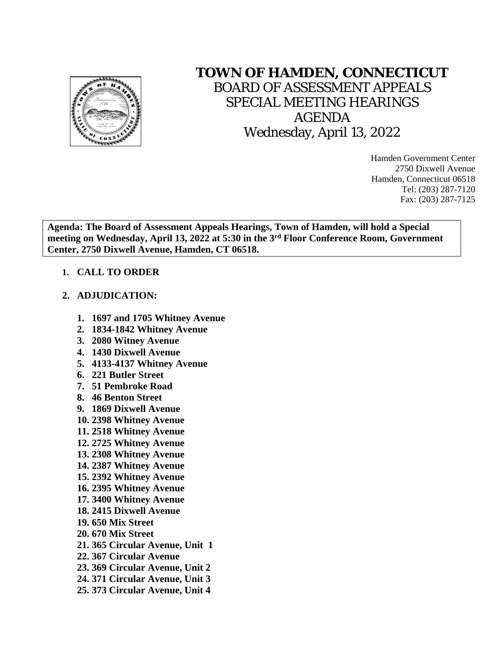

## **TOWN OF HAMDEN, CONNECTICUT**

BOARD OF ASSESSMENT APPEALS SPECIAL MEETING HEARINGS AGENDA Wednesday, April 13, 2022

> Hamden Government Center 2750 Dixwell Avenue Hamden, Connecticut 06518 Tel: (203) 287-7120 Fax: (203) 287-7125

**Agenda: The Board of Assessment Appeals Hearings, Town of Hamden, will hold a Special meeting on Wednesday, April 13, 2022 at 5:30 in the 3rd Floor Conference Room, Government Center, 2750 Dixwell Avenue, Hamden, CT 06518.**

## **1. CALL TO ORDER**

## **2. ADJUDICATION:**

- **1. 1697 and 1705 Whitney Avenue**
- **2. 1834-1842 Whitney Avenue**
- **3. 2080 Witney Avenue**
- **4. 1430 Dixwell Avenue**
- **5. 4133-4137 Whitney Avenue**
- **6. 221 Butler Street**
- **7. 51 Pembroke Road**
- **8. 46 Benton Street**
- **9. 1869 Dixwell Avenue**
- **10. 2398 Whitney Avenue**
- **11. 2518 Whitney Avenue**
- **12. 2725 Whitney Avenue**
- **13. 2308 Whitney Avenue**
- **14. 2387 Whitney Avenue**
- **15. 2392 Whitney Avenue**
- **16. 2395 Whitney Avenue**
- **17. 3400 Whitney Avenue**
- **18. 2415 Dixwell Avenue**
- **19. 650 Mix Street**
- **20. 670 Mix Street**
- **21. 365 Circular Avenue, Unit 1**
- **22. 367 Circular Avenue**
- **23. 369 Circular Avenue, Unit 2**
- **24. 371 Circular Avenue, Unit 3**
- **25. 373 Circular Avenue, Unit 4**